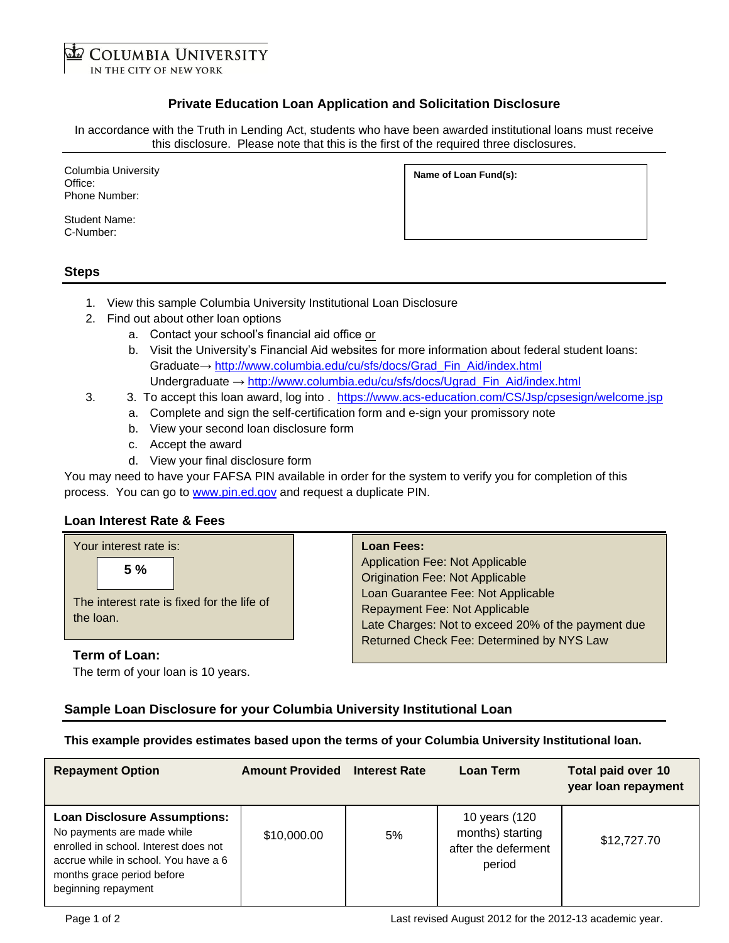**COLUMBIA UNIVERSITY** IN THE CITY OF NEW YORK

# **Private Education Loan Application and Solicitation Disclosure**

In accordance with the Truth in Lending Act, students who have been awarded institutional loans must receive this disclosure. Please note that this is the first of the required three disclosures.

| Columbia University<br>Office: | Name of Loan Fund(s): |
|--------------------------------|-----------------------|
| Phone Number:                  |                       |

Student Name: C-Number:

## **Steps**

- 1. View this sample Columbia University Institutional Loan Disclosure
- 2. Find out about other loan options
	- a. Contact your school's financial aid office or
	- b. Visit the University's Financial Aid websites for more information about federal student loans: Graduate→ [http://www.columbia.edu/cu/sfs/docs/Grad\\_Fin\\_Aid/index.html](http://www.columbia.edu/cu/sfs/docs/Grad_Fin_Aid/index.html) Undergraduate → [http://www.columbia.edu/cu/sfs/docs/Ugrad\\_Fin\\_Aid/index.html](http://www.columbia.edu/cu/sfs/docs/Ugrad_Fin_Aid/index.html)
- 3. 3. To accept this loan award, log into . <https://www.acs-education.com/CS/Jsp/cpsesign/welcome.jsp>
	- a. Complete and sign the self-certification form and e-sign your promissory note
	- b. View your second loan disclosure form
	- c. Accept the award
	- d. View your final disclosure form

You may need to have your FAFSA PIN available in order for the system to verify you for completion of this process. You can go to [www.pin.ed.gov](http://www.pin.ed.gov/) and request a duplicate PIN.

## **Loan Interest Rate & Fees**

| Your interest rate is:                                        | <b>Loan Fees:</b>                                                                                                                                                                                             |
|---------------------------------------------------------------|---------------------------------------------------------------------------------------------------------------------------------------------------------------------------------------------------------------|
| 5%<br>The interest rate is fixed for the life of<br>the loan. | Application Fee: Not Applicable<br><b>Origination Fee: Not Applicable</b><br>Loan Guarantee Fee: Not Applicable<br><b>Repayment Fee: Not Applicable</b><br>Late Charges: Not to exceed 20% of the payment due |
| Term of Loan:                                                 | Returned Check Fee: Determined by NYS Law                                                                                                                                                                     |

The term of your loan is 10 years.

## **Sample Loan Disclosure for your Columbia University Institutional Loan**

**This example provides estimates based upon the terms of your Columbia University Institutional loan.**

| <b>Repayment Option</b>                                                                                                                                                                                 | <b>Amount Provided Interest Rate</b> |    | Loan Term                                                          | <b>Total paid over 10</b><br>year loan repayment |
|---------------------------------------------------------------------------------------------------------------------------------------------------------------------------------------------------------|--------------------------------------|----|--------------------------------------------------------------------|--------------------------------------------------|
| <b>Loan Disclosure Assumptions:</b><br>No payments are made while<br>enrolled in school. Interest does not<br>accrue while in school. You have a 6<br>months grace period before<br>beginning repayment | \$10,000.00                          | 5% | 10 years (120<br>months) starting<br>after the deferment<br>period | \$12,727.70                                      |

Page 1 of 2 Last revised August 2012 for the 2012-13 academic year.